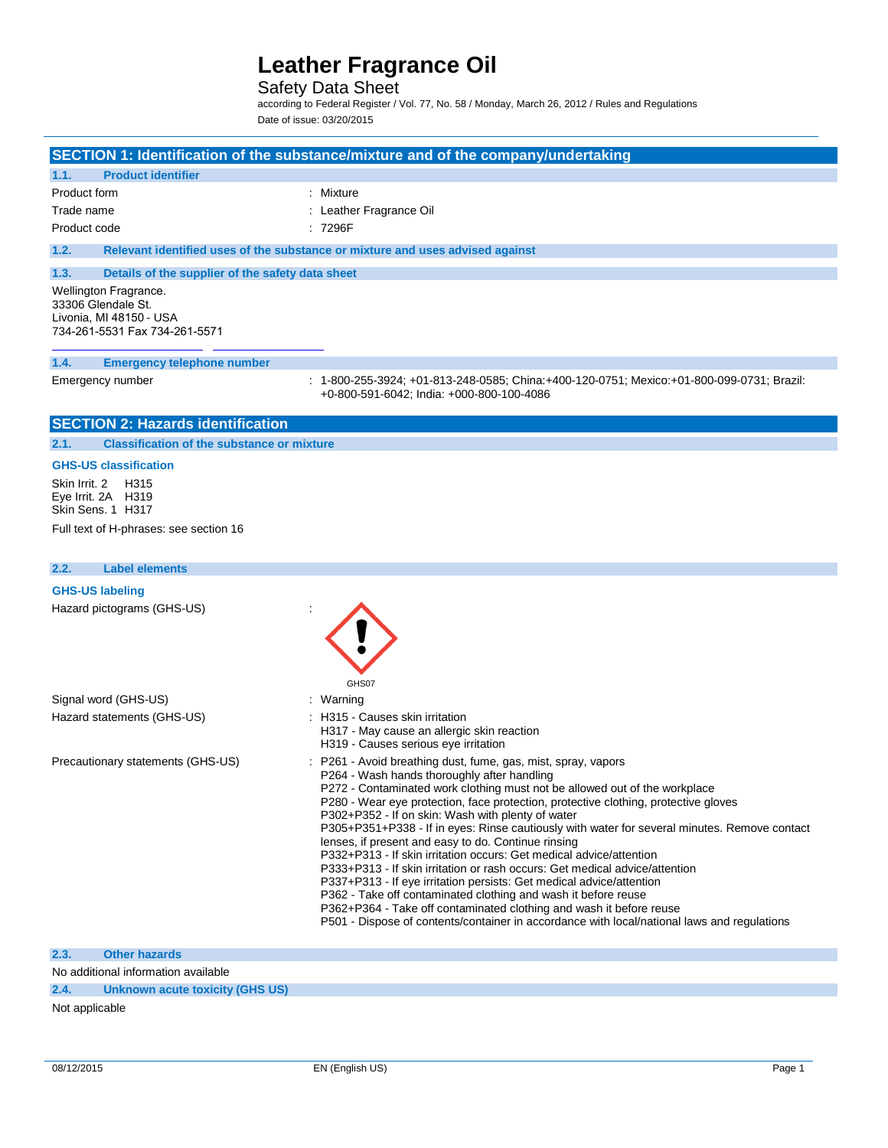### Safety Data Sheet

according to Federal Register / Vol. 77, No. 58 / Monday, March 26, 2012 / Rules and Regulations Date of issue: 03/20/2015

### **SECTION 1: Identification of the substance/mixture and of the company/undertaking**

### **1.1. Product identifier**

| Product form | : Mixture               |
|--------------|-------------------------|
| Trade name   | : Leather Fragrance Oil |
| Product code | : 7296F                 |

**1.2. Relevant identified uses of the substance or mixture and uses advised against**

### **1.3. Details of the supplier of the safety data sheet**

Wellington Fragrance. 33306 Glendale St. Livonia, MI 48150 - USA 734-261-5531 Fax 734-261-5571

### **1.4. Emergency telephone number**

Emergency number : 1-800-255-3924; +01-813-248-0585; China:+400-120-0751; Mexico:+01-800-099-0731; Brazil: +0-800-591-6042; India: +000-800-100-4086

### **SECTION 2: Hazards identification**

**2.1. Classification of the substance or mixture**

### **GHS-US classification**

Skin Irrit. 2 H315 Eye Irrit. 2A H319 Skin Sens. 1 H317

Full text of H-phrases: see section 16

### **2.2. Label elements**

### **GHS-US labeling** Hazard pictograms (GHS-US) : GHS<sub>07</sub> Signal word (GHS-US) **in the state of the Signal word (GHS-US)** and the state of the Signal and Signal and Signal Signal and Signal and Signal and Signal and Signal and Signal and Signal and Signal and Signal and Signal an Hazard statements (GHS-US) : H315 - Causes skin irritation H317 - May cause an allergic skin reaction H319 - Causes serious eye irritation Precautionary statements (GHS-US) : P261 - Avoid breathing dust, fume, gas, mist, spray, vapors P264 - Wash hands thoroughly after handling P272 - Contaminated work clothing must not be allowed out of the workplace P280 - Wear eye protection, face protection, protective clothing, protective gloves P302+P352 - If on skin: Wash with plenty of water P305+P351+P338 - If in eyes: Rinse cautiously with water for several minutes. Remove contact lenses, if present and easy to do. Continue rinsing P332+P313 - If skin irritation occurs: Get medical advice/attention P333+P313 - If skin irritation or rash occurs: Get medical advice/attention P337+P313 - If eye irritation persists: Get medical advice/attention P362 - Take off contaminated clothing and wash it before reuse P362+P364 - Take off contaminated clothing and wash it before reuse P501 - Dispose of contents/container in accordance with local/national laws and regulations

### **2.3. Other hazards**

No additional information available

**2.4. Unknown acute toxicity (GHS US)**

#### Not applicable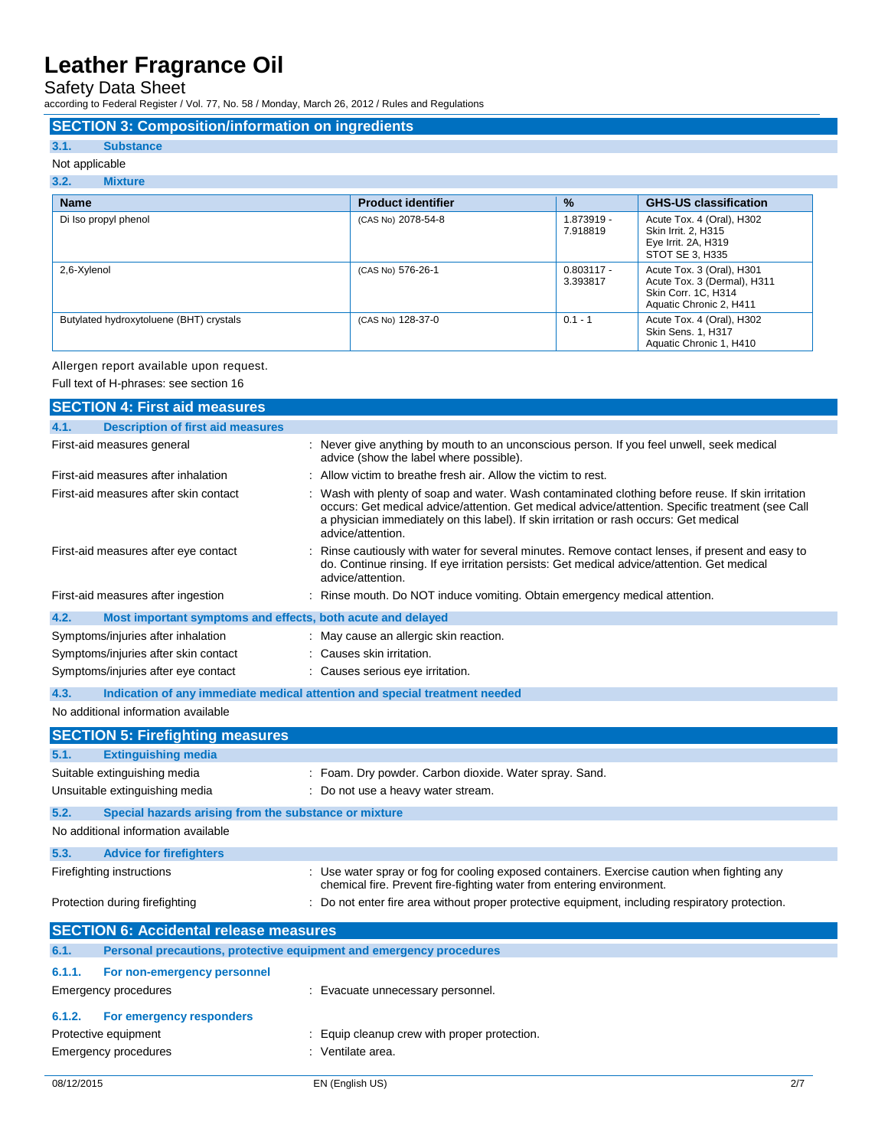Safety Data Sheet

according to Federal Register / Vol. 77, No. 58 / Monday, March 26, 2012 / Rules and Regulations

### **SECTION 3: Composition/information on ingredients**

### **3.1. Substance**

### Not applicable

### **3.2. Mixture**

| <b>Name</b>                             | <b>Product identifier</b> | $\%$                     | <b>GHS-US classification</b>                                                                                      |
|-----------------------------------------|---------------------------|--------------------------|-------------------------------------------------------------------------------------------------------------------|
| Di Iso propyl phenol                    | (CAS No) 2078-54-8        | 1.873919 -<br>7.918819   | Acute Tox. 4 (Oral), H302<br>Skin Irrit. 2, H315<br>Eye Irrit. 2A, H319<br>STOT SE 3, H335                        |
| 2,6-Xylenol                             | (CAS No) 576-26-1         | $0.803117 -$<br>3.393817 | Acute Tox. 3 (Oral), H301<br>Acute Tox. 3 (Dermal), H311<br><b>Skin Corr. 1C. H314</b><br>Aquatic Chronic 2, H411 |
| Butylated hydroxytoluene (BHT) crystals | (CAS No) 128-37-0         | $0.1 - 1$                | Acute Tox. 4 (Oral), H302<br>Skin Sens. 1, H317<br>Aquatic Chronic 1, H410                                        |

### Allergen report available upon request.

Full text of H-phrases: see section 16

|            | <b>SECTION 4: First aid measures</b>                                |                                                                                                                                                                                                                                                                                                                    |     |
|------------|---------------------------------------------------------------------|--------------------------------------------------------------------------------------------------------------------------------------------------------------------------------------------------------------------------------------------------------------------------------------------------------------------|-----|
| 4.1.       | <b>Description of first aid measures</b>                            |                                                                                                                                                                                                                                                                                                                    |     |
|            | First-aid measures general                                          | : Never give anything by mouth to an unconscious person. If you feel unwell, seek medical<br>advice (show the label where possible).                                                                                                                                                                               |     |
|            | First-aid measures after inhalation                                 | : Allow victim to breathe fresh air. Allow the victim to rest.                                                                                                                                                                                                                                                     |     |
|            | First-aid measures after skin contact                               | Wash with plenty of soap and water. Wash contaminated clothing before reuse. If skin irritation<br>occurs: Get medical advice/attention. Get medical advice/attention. Specific treatment (see Call<br>a physician immediately on this label). If skin irritation or rash occurs: Get medical<br>advice/attention. |     |
|            | First-aid measures after eye contact                                | Rinse cautiously with water for several minutes. Remove contact lenses, if present and easy to<br>do. Continue rinsing. If eye irritation persists: Get medical advice/attention. Get medical<br>advice/attention.                                                                                                 |     |
|            | First-aid measures after ingestion                                  | Rinse mouth. Do NOT induce vomiting. Obtain emergency medical attention.                                                                                                                                                                                                                                           |     |
| 4.2.       | Most important symptoms and effects, both acute and delayed         |                                                                                                                                                                                                                                                                                                                    |     |
|            | Symptoms/injuries after inhalation                                  | : May cause an allergic skin reaction.                                                                                                                                                                                                                                                                             |     |
|            | Symptoms/injuries after skin contact                                | : Causes skin irritation.                                                                                                                                                                                                                                                                                          |     |
|            | Symptoms/injuries after eye contact                                 | : Causes serious eye irritation.                                                                                                                                                                                                                                                                                   |     |
| 4.3.       |                                                                     | Indication of any immediate medical attention and special treatment needed                                                                                                                                                                                                                                         |     |
|            | No additional information available                                 |                                                                                                                                                                                                                                                                                                                    |     |
|            | <b>SECTION 5: Firefighting measures</b>                             |                                                                                                                                                                                                                                                                                                                    |     |
| 5.1.       | <b>Extinguishing media</b>                                          |                                                                                                                                                                                                                                                                                                                    |     |
|            | Suitable extinguishing media                                        | : Foam. Dry powder. Carbon dioxide. Water spray. Sand.                                                                                                                                                                                                                                                             |     |
|            | Unsuitable extinguishing media                                      | : Do not use a heavy water stream.                                                                                                                                                                                                                                                                                 |     |
| 5.2.       | Special hazards arising from the substance or mixture               |                                                                                                                                                                                                                                                                                                                    |     |
|            | No additional information available                                 |                                                                                                                                                                                                                                                                                                                    |     |
| 5.3.       | <b>Advice for firefighters</b>                                      |                                                                                                                                                                                                                                                                                                                    |     |
|            | Firefighting instructions                                           | : Use water spray or fog for cooling exposed containers. Exercise caution when fighting any<br>chemical fire. Prevent fire-fighting water from entering environment.                                                                                                                                               |     |
|            | Protection during firefighting                                      | : Do not enter fire area without proper protective equipment, including respiratory protection.                                                                                                                                                                                                                    |     |
|            | <b>SECTION 6: Accidental release measures</b>                       |                                                                                                                                                                                                                                                                                                                    |     |
| 6.1.       | Personal precautions, protective equipment and emergency procedures |                                                                                                                                                                                                                                                                                                                    |     |
| 6.1.1.     | For non-emergency personnel                                         |                                                                                                                                                                                                                                                                                                                    |     |
|            | Emergency procedures                                                | : Evacuate unnecessary personnel.                                                                                                                                                                                                                                                                                  |     |
| 6.1.2.     | For emergency responders                                            |                                                                                                                                                                                                                                                                                                                    |     |
|            | Protective equipment                                                | : Equip cleanup crew with proper protection.                                                                                                                                                                                                                                                                       |     |
|            | <b>Emergency procedures</b>                                         | : Ventilate area.                                                                                                                                                                                                                                                                                                  |     |
| 08/12/2015 |                                                                     | EN (English US)                                                                                                                                                                                                                                                                                                    | 2/7 |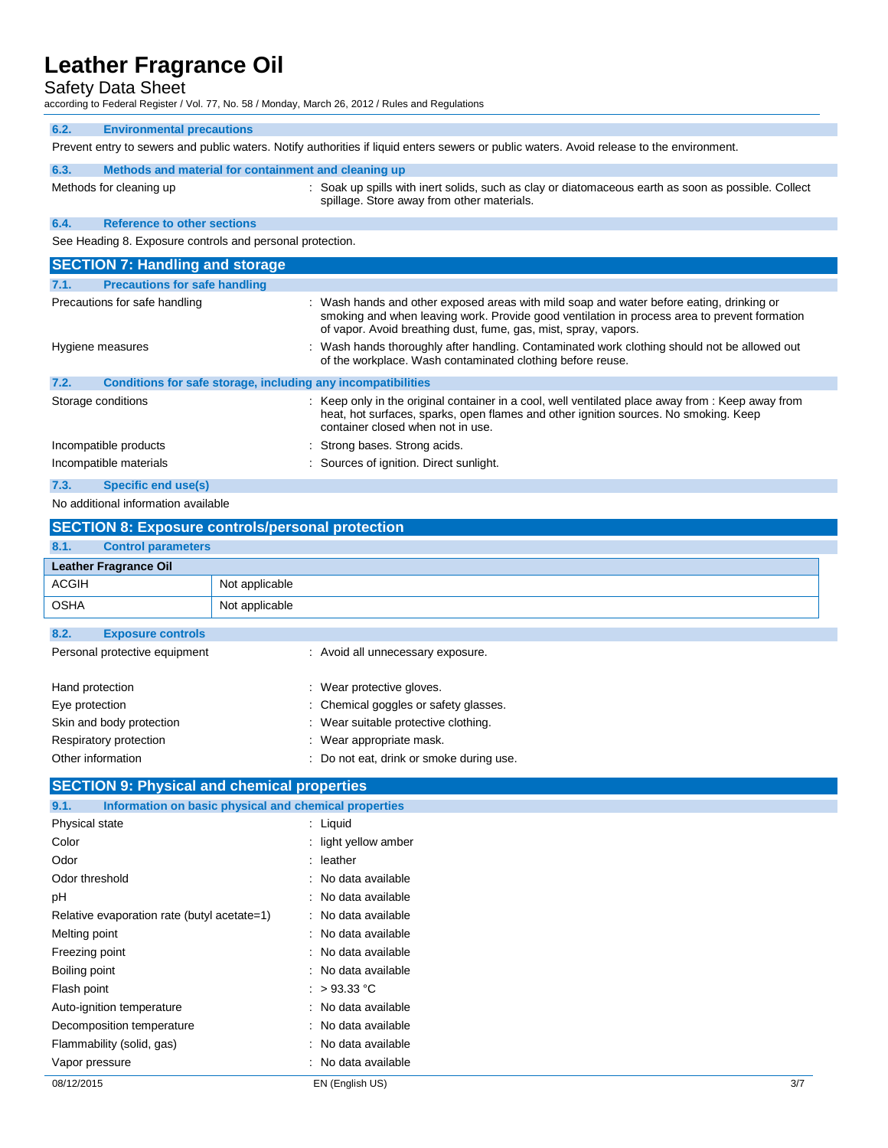Safety Data Sheet

according to Federal Register / Vol. 77, No. 58 / Monday, March 26, 2012 / Rules and Regulations

| 6.2.                                                      | <b>Environmental precautions</b>                                                                                                          |                                                                                                                                                                                                                                                             |  |  |  |
|-----------------------------------------------------------|-------------------------------------------------------------------------------------------------------------------------------------------|-------------------------------------------------------------------------------------------------------------------------------------------------------------------------------------------------------------------------------------------------------------|--|--|--|
|                                                           | Prevent entry to sewers and public waters. Notify authorities if liquid enters sewers or public waters. Avoid release to the environment. |                                                                                                                                                                                                                                                             |  |  |  |
| 6.3.                                                      | Methods and material for containment and cleaning up                                                                                      |                                                                                                                                                                                                                                                             |  |  |  |
|                                                           | Methods for cleaning up                                                                                                                   | : Soak up spills with inert solids, such as clay or diatomaceous earth as soon as possible. Collect<br>spillage. Store away from other materials.                                                                                                           |  |  |  |
| 6.4.                                                      | <b>Reference to other sections</b>                                                                                                        |                                                                                                                                                                                                                                                             |  |  |  |
| See Heading 8. Exposure controls and personal protection. |                                                                                                                                           |                                                                                                                                                                                                                                                             |  |  |  |
|                                                           | <b>SECTION 7: Handling and storage</b>                                                                                                    |                                                                                                                                                                                                                                                             |  |  |  |
| 7.1.                                                      | <b>Precautions for safe handling</b>                                                                                                      |                                                                                                                                                                                                                                                             |  |  |  |
|                                                           | Precautions for safe handling                                                                                                             | : Wash hands and other exposed areas with mild soap and water before eating, drinking or<br>smoking and when leaving work. Provide good ventilation in process area to prevent formation<br>of vapor. Avoid breathing dust, fume, gas, mist, spray, vapors. |  |  |  |
| Hygiene measures                                          |                                                                                                                                           | : Wash hands thoroughly after handling. Contaminated work clothing should not be allowed out<br>of the workplace. Wash contaminated clothing before reuse.                                                                                                  |  |  |  |
| 7.2.                                                      | Conditions for safe storage, including any incompatibilities                                                                              |                                                                                                                                                                                                                                                             |  |  |  |
| Storage conditions                                        |                                                                                                                                           | : Keep only in the original container in a cool, well ventilated place away from : Keep away from<br>heat, hot surfaces, sparks, open flames and other ignition sources. No smoking. Keep                                                                   |  |  |  |

container closed when not in use.

Incompatible products in the strong bases. Strong acids. Incompatible materials **incompatible materials** : Sources of ignition. Direct sunlight.

**7.3. Specific end use(s)**

No additional information available

|                                   | <b>SECTION 8: Exposure controls/personal protection</b>                 |                |                                                                                                                                                                                    |
|-----------------------------------|-------------------------------------------------------------------------|----------------|------------------------------------------------------------------------------------------------------------------------------------------------------------------------------------|
| 8.1.                              | <b>Control parameters</b>                                               |                |                                                                                                                                                                                    |
|                                   | <b>Leather Fragrance Oil</b>                                            |                |                                                                                                                                                                                    |
| ACGIH                             |                                                                         | Not applicable |                                                                                                                                                                                    |
| <b>OSHA</b>                       |                                                                         | Not applicable |                                                                                                                                                                                    |
| 8.2.                              | <b>Exposure controls</b><br>Personal protective equipment               |                | : Avoid all unnecessary exposure.                                                                                                                                                  |
| Hand protection<br>Eye protection | Skin and body protection<br>Respiratory protection<br>Other information |                | : Wear protective gloves.<br>: Chemical goggles or safety glasses.<br>: Wear suitable protective clothing.<br>: Wear appropriate mask.<br>: Do not eat, drink or smoke during use. |

### **SECTION 9: Physical and chemical properties**

| Information on basic physical and chemical properties<br>9.1. |                      |     |
|---------------------------------------------------------------|----------------------|-----|
| Physical state                                                | $:$ Liquid           |     |
| Color                                                         | : light yellow amber |     |
| Odor                                                          | $:$ leather          |     |
| Odor threshold                                                | : No data available  |     |
| рH                                                            | : No data available  |     |
| Relative evaporation rate (butyl acetate=1)                   | : No data available  |     |
| Melting point                                                 | : No data available  |     |
| Freezing point                                                | : No data available  |     |
| Boiling point                                                 | : No data available  |     |
| Flash point                                                   | : $>93.33^{\circ}$ C |     |
| Auto-ignition temperature                                     | : No data available  |     |
| Decomposition temperature                                     | : No data available  |     |
| Flammability (solid, gas)                                     | : No data available  |     |
| Vapor pressure                                                | : No data available  |     |
| 08/12/2015                                                    | EN (English US)      | 3/7 |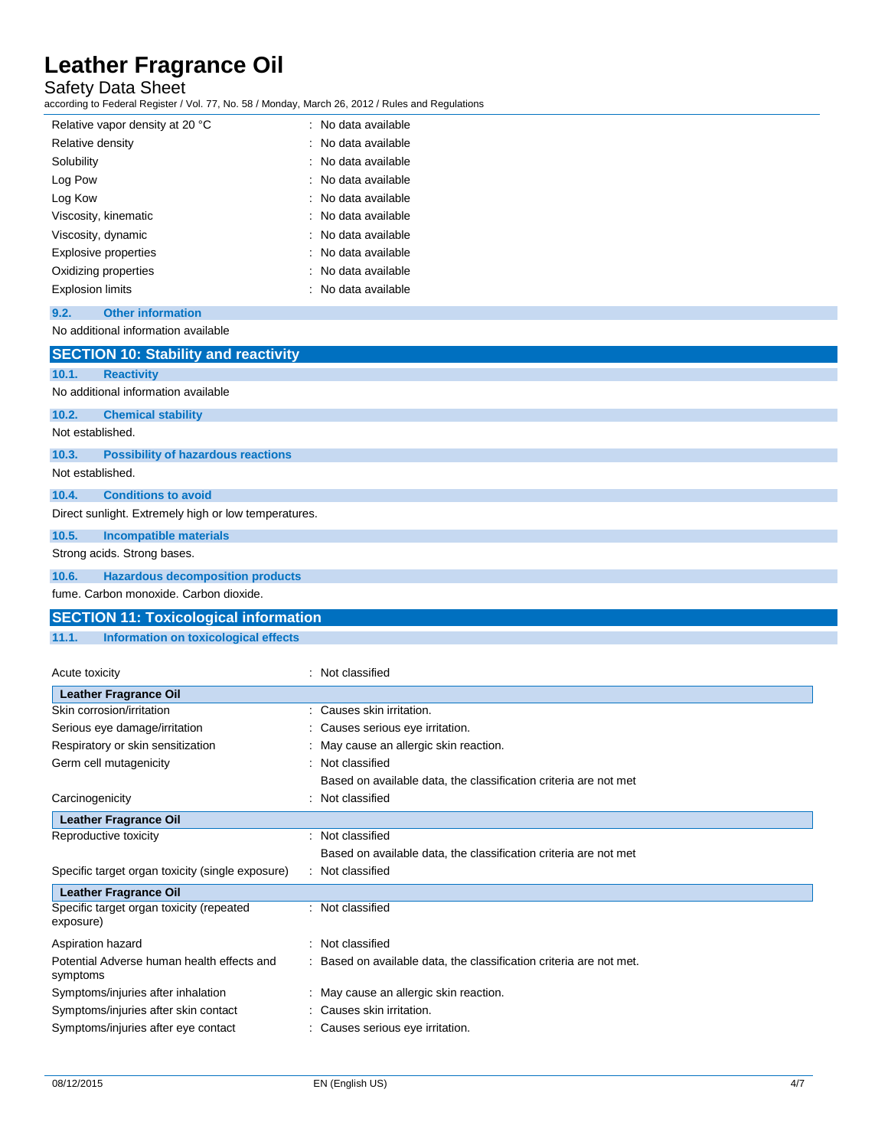Safety Data Sheet

according to Federal Register / Vol. 77, No. 58 / Monday, March 26, 2012 / Rules and Regulations

| Relative vapor density at 20 °C | : No data available |
|---------------------------------|---------------------|
| Relative density                | : No data available |
| Solubility                      | : No data available |
| Log Pow                         | : No data available |
| Log Kow                         | : No data available |
| Viscosity, kinematic            | : No data available |
| Viscosity, dynamic              | : No data available |
| Explosive properties            | : No data available |
| Oxidizing properties            | : No data available |
| <b>Explosion limits</b>         | : No data available |

### **9.2. Other information**

### No additional information available

|                  | <b>SECTION 10: Stability and reactivity</b>          |
|------------------|------------------------------------------------------|
| 10.1.            | <b>Reactivity</b>                                    |
|                  | No additional information available                  |
| 10.2.            | <b>Chemical stability</b>                            |
| Not established. |                                                      |
| 10.3.            | <b>Possibility of hazardous reactions</b>            |
| Not established. |                                                      |
| 10.4.            | <b>Conditions to avoid</b>                           |
|                  | Direct sunlight. Extremely high or low temperatures. |
| 10.5.            | <b>Incompatible materials</b>                        |
|                  | Strong acids. Strong bases.                          |
| 10.6.            | <b>Hazardous decomposition products</b>              |
|                  | fume. Carbon monoxide. Carbon dioxide.               |
|                  | <b>SECTION 11: Toxicological information</b>         |

### **11.1. Information on toxicological effects**

| Acute toxicity                                         |   | : Not classified                                                  |
|--------------------------------------------------------|---|-------------------------------------------------------------------|
| <b>Leather Fragrance Oil</b>                           |   |                                                                   |
| Skin corrosion/irritation                              |   | Causes skin irritation.                                           |
| Serious eye damage/irritation                          |   | Causes serious eye irritation.                                    |
| Respiratory or skin sensitization                      |   | May cause an allergic skin reaction.                              |
| Germ cell mutagenicity                                 |   | Not classified                                                    |
|                                                        |   | Based on available data, the classification criteria are not met  |
| Carcinogenicity                                        |   | Not classified                                                    |
| <b>Leather Fragrance Oil</b>                           |   |                                                                   |
| Reproductive toxicity                                  |   | Not classified                                                    |
|                                                        |   | Based on available data, the classification criteria are not met  |
| Specific target organ toxicity (single exposure)       |   | : Not classified                                                  |
| <b>Leather Fragrance Oil</b>                           |   |                                                                   |
| Specific target organ toxicity (repeated<br>exposure)  |   | : Not classified                                                  |
| Aspiration hazard                                      | ÷ | Not classified                                                    |
| Potential Adverse human health effects and<br>symptoms |   | Based on available data, the classification criteria are not met. |
| Symptoms/injuries after inhalation                     |   | : May cause an allergic skin reaction.                            |
| Symptoms/injuries after skin contact                   |   | : Causes skin irritation.                                         |
| Symptoms/injuries after eye contact                    |   | : Causes serious eye irritation.                                  |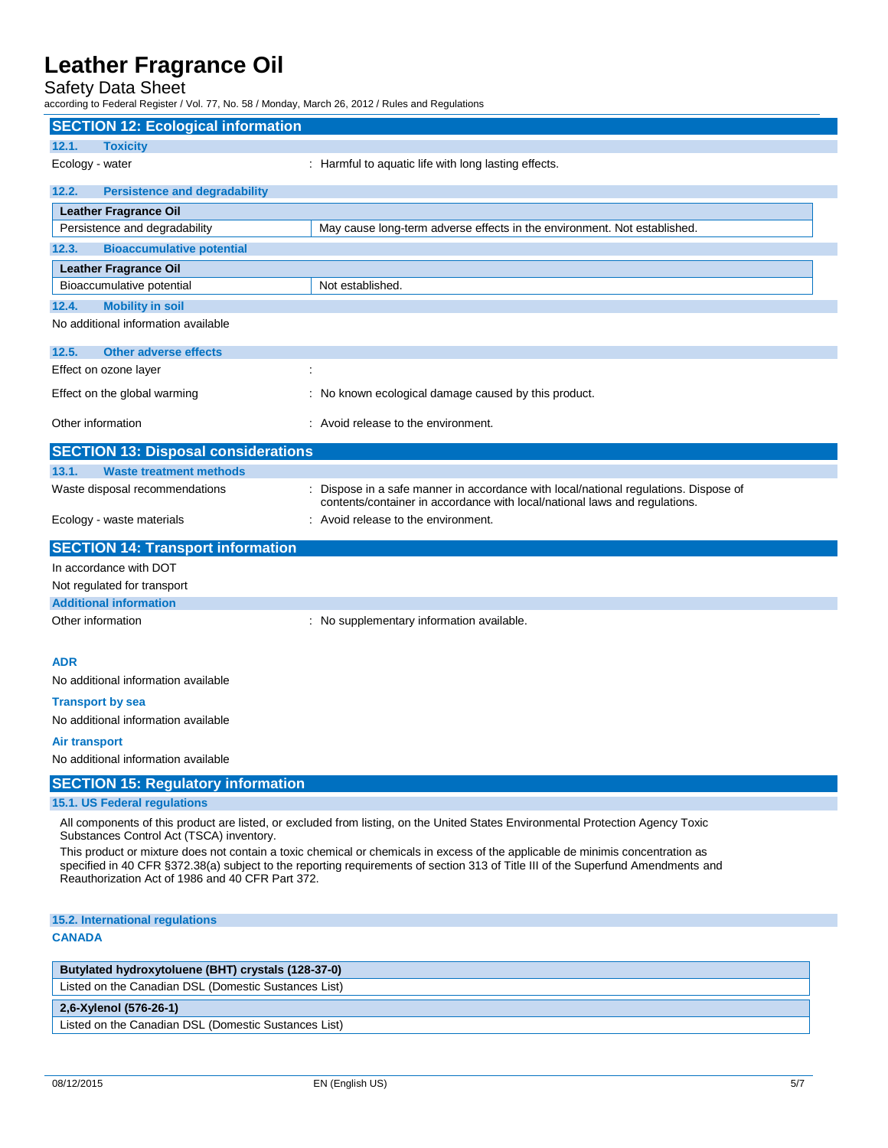Safety Data Sheet

according to Federal Register / Vol. 77, No. 58 / Monday, March 26, 2012 / Rules and Regulations

| <b>SECTION 12: Ecological information</b>            |                                                                                                                                                                                                                                                                    |  |  |
|------------------------------------------------------|--------------------------------------------------------------------------------------------------------------------------------------------------------------------------------------------------------------------------------------------------------------------|--|--|
| 12.1.<br><b>Toxicity</b>                             |                                                                                                                                                                                                                                                                    |  |  |
| Ecology - water                                      | : Harmful to aquatic life with long lasting effects.                                                                                                                                                                                                               |  |  |
| 12.2.<br><b>Persistence and degradability</b>        |                                                                                                                                                                                                                                                                    |  |  |
| <b>Leather Fragrance Oil</b>                         |                                                                                                                                                                                                                                                                    |  |  |
| Persistence and degradability                        | May cause long-term adverse effects in the environment. Not established.                                                                                                                                                                                           |  |  |
| <b>Bioaccumulative potential</b><br>12.3.            |                                                                                                                                                                                                                                                                    |  |  |
| <b>Leather Fragrance Oil</b>                         |                                                                                                                                                                                                                                                                    |  |  |
| Bioaccumulative potential                            | Not established.                                                                                                                                                                                                                                                   |  |  |
| <b>Mobility in soil</b><br>12.4.                     |                                                                                                                                                                                                                                                                    |  |  |
| No additional information available                  |                                                                                                                                                                                                                                                                    |  |  |
| 12.5.<br><b>Other adverse effects</b>                |                                                                                                                                                                                                                                                                    |  |  |
| Effect on ozone layer                                | ÷                                                                                                                                                                                                                                                                  |  |  |
| Effect on the global warming                         | : No known ecological damage caused by this product.                                                                                                                                                                                                               |  |  |
| Other information                                    | : Avoid release to the environment.                                                                                                                                                                                                                                |  |  |
| <b>SECTION 13: Disposal considerations</b>           |                                                                                                                                                                                                                                                                    |  |  |
| <b>Waste treatment methods</b><br>13.1.              |                                                                                                                                                                                                                                                                    |  |  |
| Waste disposal recommendations                       | Dispose in a safe manner in accordance with local/national regulations. Dispose of<br>contents/container in accordance with local/national laws and regulations.                                                                                                   |  |  |
| Ecology - waste materials                            | : Avoid release to the environment.                                                                                                                                                                                                                                |  |  |
| <b>SECTION 14: Transport information</b>             |                                                                                                                                                                                                                                                                    |  |  |
| In accordance with DOT                               |                                                                                                                                                                                                                                                                    |  |  |
| Not regulated for transport                          |                                                                                                                                                                                                                                                                    |  |  |
| <b>Additional information</b>                        |                                                                                                                                                                                                                                                                    |  |  |
| Other information                                    | : No supplementary information available.                                                                                                                                                                                                                          |  |  |
| <b>ADR</b>                                           |                                                                                                                                                                                                                                                                    |  |  |
| No additional information available                  |                                                                                                                                                                                                                                                                    |  |  |
| <b>Transport by sea</b>                              |                                                                                                                                                                                                                                                                    |  |  |
| No additional information available                  |                                                                                                                                                                                                                                                                    |  |  |
| <b>Air transport</b>                                 |                                                                                                                                                                                                                                                                    |  |  |
| No additional information available                  |                                                                                                                                                                                                                                                                    |  |  |
| <b>SECTION 15: Regulatory information</b>            |                                                                                                                                                                                                                                                                    |  |  |
| 15.1. US Federal regulations                         |                                                                                                                                                                                                                                                                    |  |  |
| Substances Control Act (TSCA) inventory.             | All components of this product are listed, or excluded from listing, on the United States Environmental Protection Agency Toxic                                                                                                                                    |  |  |
| Reauthorization Act of 1986 and 40 CFR Part 372.     | This product or mixture does not contain a toxic chemical or chemicals in excess of the applicable de minimis concentration as<br>specified in 40 CFR §372.38(a) subject to the reporting requirements of section 313 of Title III of the Superfund Amendments and |  |  |
| 15.2. International regulations                      |                                                                                                                                                                                                                                                                    |  |  |
| <b>CANADA</b>                                        |                                                                                                                                                                                                                                                                    |  |  |
| Butylated hydroxytoluene (BHT) crystals (128-37-0)   |                                                                                                                                                                                                                                                                    |  |  |
| Listed on the Canadian DSL (Domestic Sustances List) |                                                                                                                                                                                                                                                                    |  |  |
| $26$ Vylopol (E76.26.4)                              |                                                                                                                                                                                                                                                                    |  |  |

**2,6-Xylenol (576-26-1)**

Listed on the Canadian DSL (Domestic Sustances List)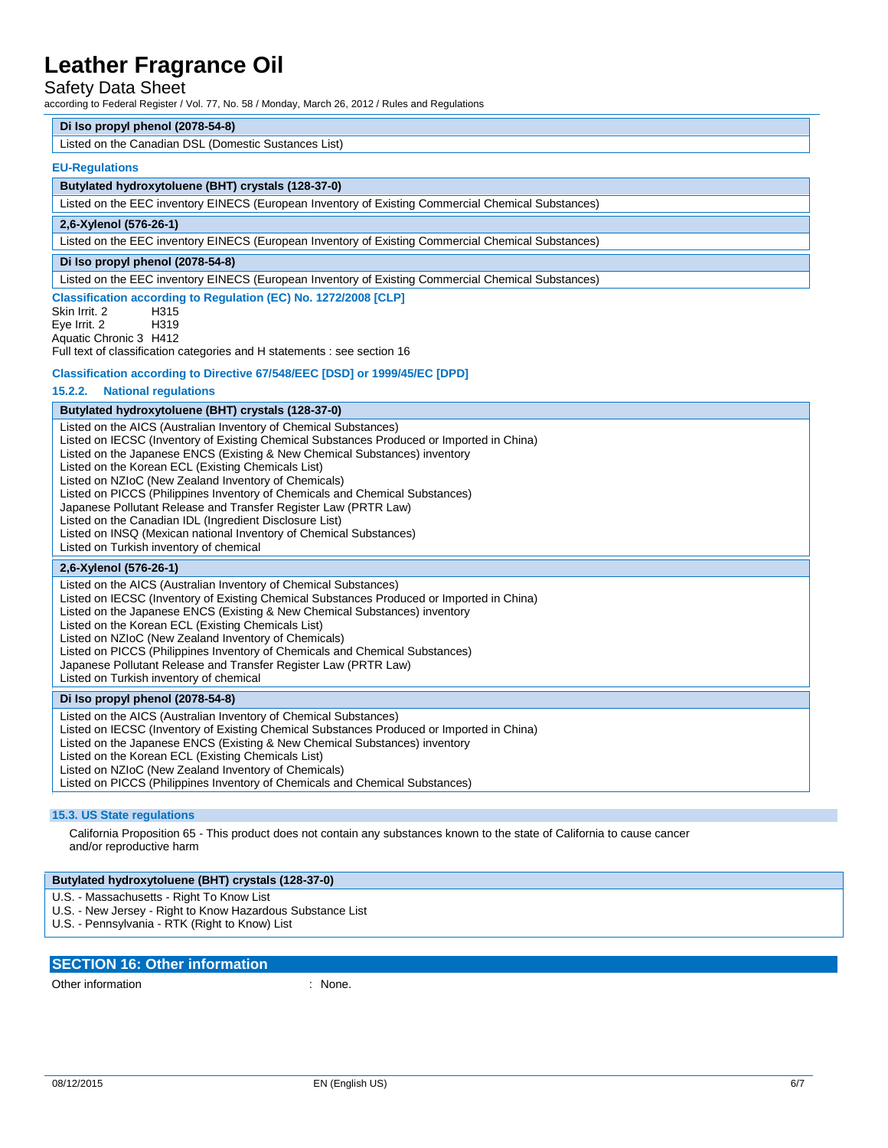### Safety Data Sheet

according to Federal Register / Vol. 77, No. 58 / Monday, March 26, 2012 / Rules and Regulations

#### **Di Iso propyl phenol (2078-54-8)**

Listed on the Canadian DSL (Domestic Sustances List)

### **EU-Regulations**

#### **Butylated hydroxytoluene (BHT) crystals (128-37-0)**

Listed on the EEC inventory EINECS (European Inventory of Existing Commercial Chemical Substances)

### **2,6-Xylenol (576-26-1)**

Listed on the EEC inventory EINECS (European Inventory of Existing Commercial Chemical Substances)

### **Di Iso propyl phenol (2078-54-8)**

Listed on the EEC inventory EINECS (European Inventory of Existing Commercial Chemical Substances)

### **Classification according to Regulation (EC) No. 1272/2008 [CLP]**

Skin Irrit. 2 H315 Eye Irrit. 2 H319 Aquatic Chronic 3 H412

Full text of classification categories and H statements : see section 16

### **Classification according to Directive 67/548/EEC [DSD] or 1999/45/EC [DPD]**

### **15.2.2. National regulations**

### **Butylated hydroxytoluene (BHT) crystals (128-37-0)**

Listed on the AICS (Australian Inventory of Chemical Substances) Listed on IECSC (Inventory of Existing Chemical Substances Produced or Imported in China) Listed on the Japanese ENCS (Existing & New Chemical Substances) inventory Listed on the Korean ECL (Existing Chemicals List) Listed on NZIoC (New Zealand Inventory of Chemicals) Listed on PICCS (Philippines Inventory of Chemicals and Chemical Substances) Japanese Pollutant Release and Transfer Register Law (PRTR Law) Listed on the Canadian IDL (Ingredient Disclosure List) Listed on INSQ (Mexican national Inventory of Chemical Substances) Listed on Turkish inventory of chemical **2,6-Xylenol (576-26-1)** Listed on the AICS (Australian Inventory of Chemical Substances) Listed on IECSC (Inventory of Existing Chemical Substances Produced or Imported in China)

Listed on the Japanese ENCS (Existing & New Chemical Substances) inventory

Listed on the Korean ECL (Existing Chemicals List)

Listed on NZIoC (New Zealand Inventory of Chemicals)

Listed on PICCS (Philippines Inventory of Chemicals and Chemical Substances)

Japanese Pollutant Release and Transfer Register Law (PRTR Law)

Listed on Turkish inventory of chemical

### **Di Iso propyl phenol (2078-54-8)**

Listed on the AICS (Australian Inventory of Chemical Substances) Listed on IECSC (Inventory of Existing Chemical Substances Produced or Imported in China) Listed on the Japanese ENCS (Existing & New Chemical Substances) inventory Listed on the Korean ECL (Existing Chemicals List) Listed on NZIoC (New Zealand Inventory of Chemicals) Listed on PICCS (Philippines Inventory of Chemicals and Chemical Substances)

### **15.3. US State regulations**

California Proposition 65 - This product does not contain any substances known to the state of California to cause cancer and/or reproductive harm

#### **Butylated hydroxytoluene (BHT) crystals (128-37-0)**

U.S. - Massachusetts - Right To Know List

- U.S. New Jersey Right to Know Hazardous Substance List
- U.S. Pennsylvania RTK (Right to Know) List

### **SECTION 16: Other information**

Other information  $\blacksquare$  : None.